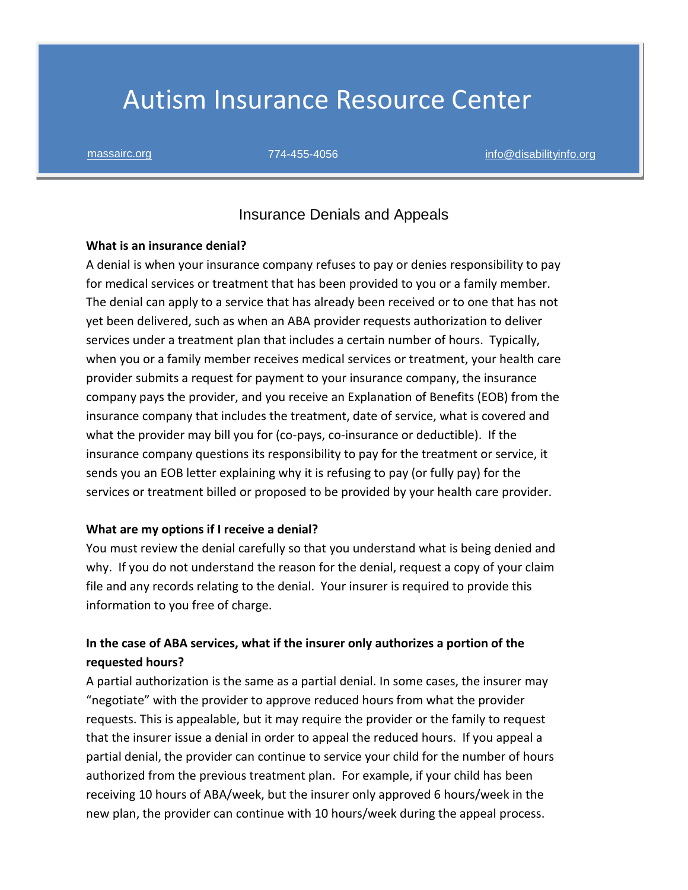# Autism Insurance Resource Center

#### Insurance Denials and Appeals

#### **What is an insurance denial?**

A denial is when your insurance company refuses to pay or denies responsibility to pay for medical services or treatment that has been provided to you or a family member. The denial can apply to a service that has already been received or to one that has not yet been delivered, such as when an ABA provider requests authorization to deliver services under a treatment plan that includes a certain number of hours. Typically, when you or a family member receives medical services or treatment, your health care provider submits a request for payment to your insurance company, the insurance company pays the provider, and you receive an Explanation of Benefits (EOB) from the insurance company that includes the treatment, date of service, what is covered and what the provider may bill you for (co-pays, co-insurance or deductible). If the insurance company questions its responsibility to pay for the treatment or service, it sends you an EOB letter explaining why it is refusing to pay (or fully pay) for the services or treatment billed or proposed to be provided by your health care provider.

#### **What are my options if I receive a denial?**

You must review the denial carefully so that you understand what is being denied and why. If you do not understand the reason for the denial, request a copy of your claim file and any records relating to the denial. Your insurer is required to provide this information to you free of charge.

### **In the case of ABA services, what if the insurer only authorizes a portion of the requested hours?**

A partial authorization is the same as a partial denial. In some cases, the insurer may "negotiate" with the provider to approve reduced hours from what the provider requests. This is appealable, but it may require the provider or the family to request that the insurer issue a denial in order to appeal the reduced hours. If you appeal a partial denial, the provider can continue to service your child for the number of hours authorized from the previous treatment plan. For example, if your child has been receiving 10 hours of ABA/week, but the insurer only approved 6 hours/week in the new plan, the provider can continue with 10 hours/week during the appeal process.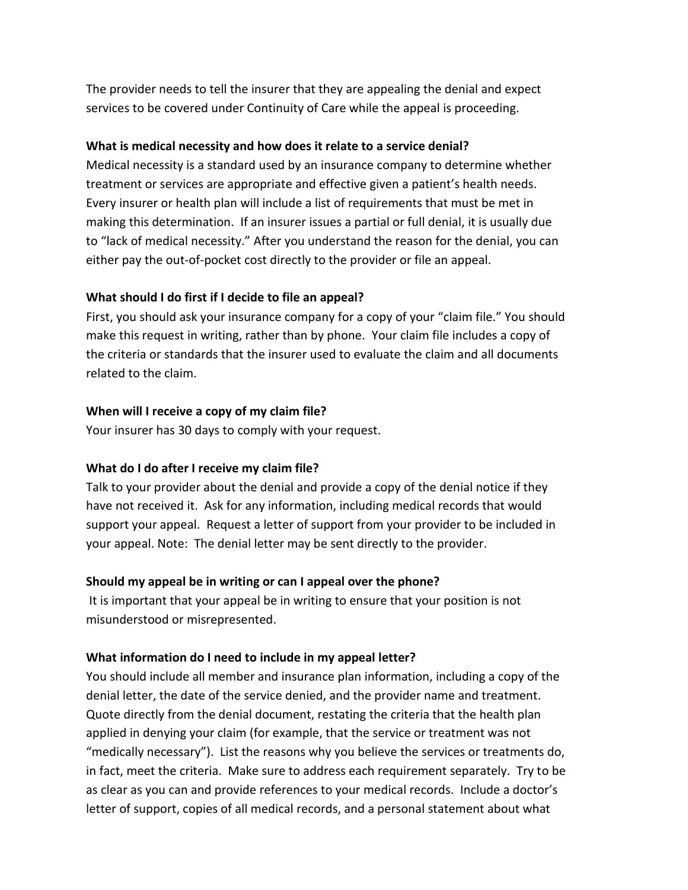The provider needs to tell the insurer that they are appealing the denial and expect services to be covered under Continuity of Care while the appeal is proceeding.

#### **What is medical necessity and how does it relate to a service denial?**

Medical necessity is a standard used by an insurance company to determine whether treatment or services are appropriate and effective given a patient's health needs. Every insurer or health plan will include a list of requirements that must be met in making this determination. If an insurer issues a partial or full denial, it is usually due to "lack of medical necessity." After you understand the reason for the denial, you can either pay the out-of-pocket cost directly to the provider or file an appeal.

#### **What should I do first if I decide to file an appeal?**

First, you should ask your insurance company for a copy of your "claim file." You should make this request in writing, rather than by phone. Your claim file includes a copy of the criteria or standards that the insurer used to evaluate the claim and all documents related to the claim.

#### **When will I receive a copy of my claim file?**

Your insurer has 30 days to comply with your request.

#### **What do I do after I receive my claim file?**

Talk to your provider about the denial and provide a copy of the denial notice if they have not received it. Ask for any information, including medical records that would support your appeal. Request a letter of support from your provider to be included in your appeal. Note: The denial letter may be sent directly to the provider.

#### **Should my appeal be in writing or can I appeal over the phone?**

It is important that your appeal be in writing to ensure that your position is not misunderstood or misrepresented.

#### **What information do I need to include in my appeal letter?**

You should include all member and insurance plan information, including a copy of the denial letter, the date of the service denied, and the provider name and treatment. Quote directly from the denial document, restating the criteria that the health plan applied in denying your claim (for example, that the service or treatment was not "medically necessary"). List the reasons why you believe the services or treatments do, in fact, meet the criteria. Make sure to address each requirement separately. Try to be as clear as you can and provide references to your medical records. Include a doctor's letter of support, copies of all medical records, and a personal statement about what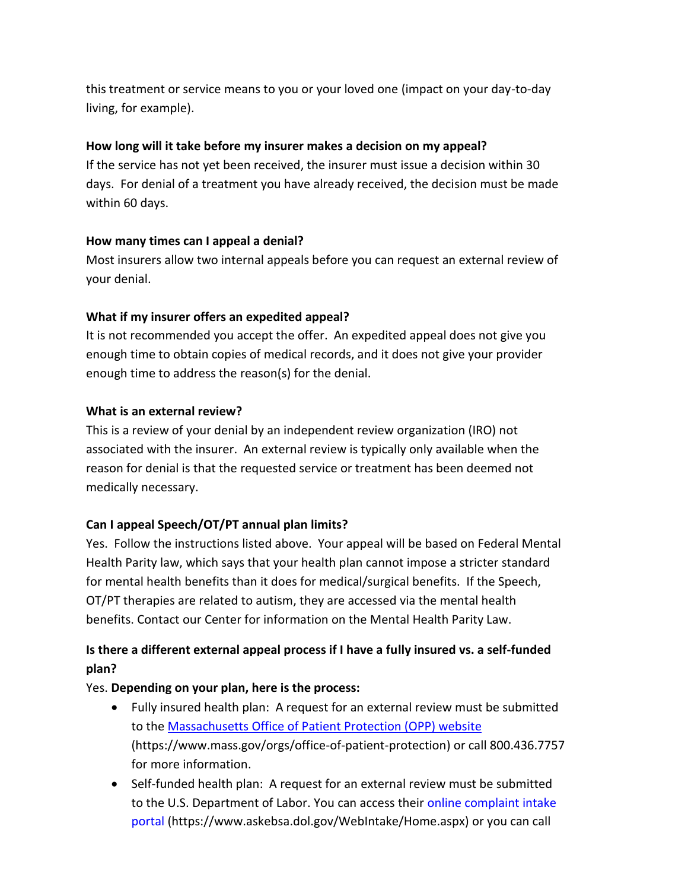this treatment or service means to you or your loved one (impact on your day-to-day living, for example).

#### **How long will it take before my insurer makes a decision on my appeal?**

If the service has not yet been received, the insurer must issue a decision within 30 days. For denial of a treatment you have already received, the decision must be made within 60 days.

#### **How many times can I appeal a denial?**

Most insurers allow two internal appeals before you can request an external review of your denial.

#### **What if my insurer offers an expedited appeal?**

It is not recommended you accept the offer. An expedited appeal does not give you enough time to obtain copies of medical records, and it does not give your provider enough time to address the reason(s) for the denial.

#### **What is an external review?**

This is a review of your denial by an independent review organization (IRO) not associated with the insurer. An external review is typically only available when the reason for denial is that the requested service or treatment has been deemed not medically necessary.

### **Can I appeal Speech/OT/PT annual plan limits?**

Yes. Follow the instructions listed above. Your appeal will be based on Federal Mental Health Parity law, which says that your health plan cannot impose a stricter standard for mental health benefits than it does for medical/surgical benefits. If the Speech, OT/PT therapies are related to autism, they are accessed via the mental health benefits. Contact our Center for information on the Mental Health Parity Law.

## **Is there a different external appeal process if I have a fully insured vs. a self-funded plan?**

#### Yes. **Depending on your plan, here is the process:**

- Fully insured health plan: A request for an external review must be submitted to the Massachusetts [Office of Patient Protection \(OPP\) website](https://www.mass.gov/orgs/office-of-patient-protection) (https://www.mass.gov/orgs/office-of-patient-protection) or call 800.436.7757 for more information.
- Self-funded health plan: A request for an external review must be submitted to the U.S. Department of Labor. You can access their [online complaint intake](https://www.askebsa.dol.gov/WebIntake/Home.aspx)  [portal](https://www.askebsa.dol.gov/WebIntake/Home.aspx) (https://www.askebsa.dol.gov/WebIntake/Home.aspx) or you can call